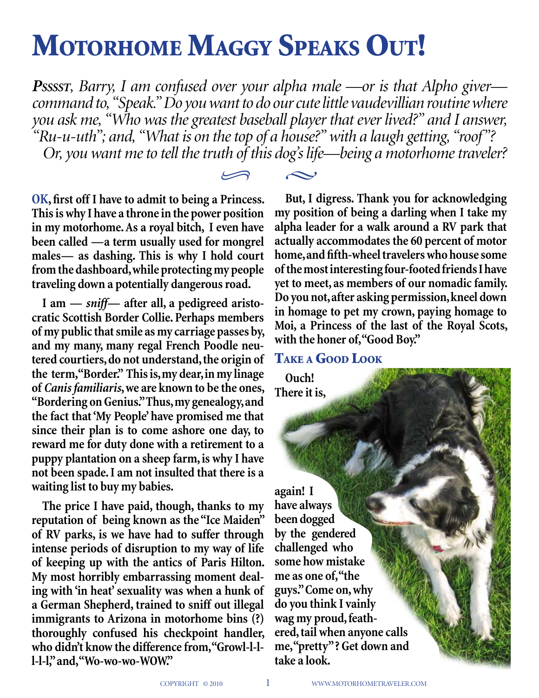# MOTORHOME MAGGY SPEAKS OUT!

*Psssst, Barry, I am confused over your alpha male —or is that Alpho giver command to, "Speak." Do you want to do our cute little vaudevillian routine where you ask me, "Who was the greatest baseball player that ever lived?" and I answer, "Ru-u-uth"; and, "What is on the top of a house?" with a laugh getting, "roof"? Or, you want me to tell the truth of this dog's life—being a motorhome traveler?*

 $\curvearrowright$ 



**I am —** *sniff***— after all, a pedigreed aristocratic Scottish Border Collie. Perhaps members of my public that smile as my carriage passes by, and my many, many regal French Poodle neutered courtiers, do not understand, the origin of the term, "Border." This is, my dear, in my linage of** *Canis familiaris***, we are known to be the ones, "Bordering on Genius." Thus, my genealogy, and the fact that 'My People' have promised me that since their plan is to come ashore one day, to reward me for duty done with a retirement to a puppy plantation on a sheep farm, is why I have not been spade. I am not insulted that there is a waiting list to buy my babies.**

**The price I have paid, though, thanks to my reputation of being known as the "Ice Maiden" of RV parks, is we have had to suffer through intense periods of disruption to my way of life of keeping up with the antics of Paris Hilton. My most horribly embarrassing moment dealing with 'in heat' sexuality was when a hunk of a German Shepherd, trained to sniff out illegal immigrants to Arizona in motorhome bins (?) thoroughly confused his checkpoint handler, who didn't know the difference from, "Growl-l-ll-l-l," and, "Wo-wo-wo-WOW."**

**But, I digress. Thank you for acknowledging my position of being a darling when I take my alpha leader for a walk around a RV park that actually accommodates the 60 percent of motor home, and fifth-wheel travelers who house some of the most interesting four-footed friends I have yet to meet, as members of our nomadic family. Do you not, after asking permission, kneel down in homage to pet my crown, paying homage to Moi, a Princess of the last of the Royal Scots, with the honer of, "Good Boy."** 

## Take a Good Look

**Ouch! There it is,** 

**again! I have always been dogged by the gendered challenged who some how mistake me as one of, "the guys." Come on, why do you think I vainly wag my proud, feathered, tail when anyone calls me, "pretty" ? Get down and take a look.**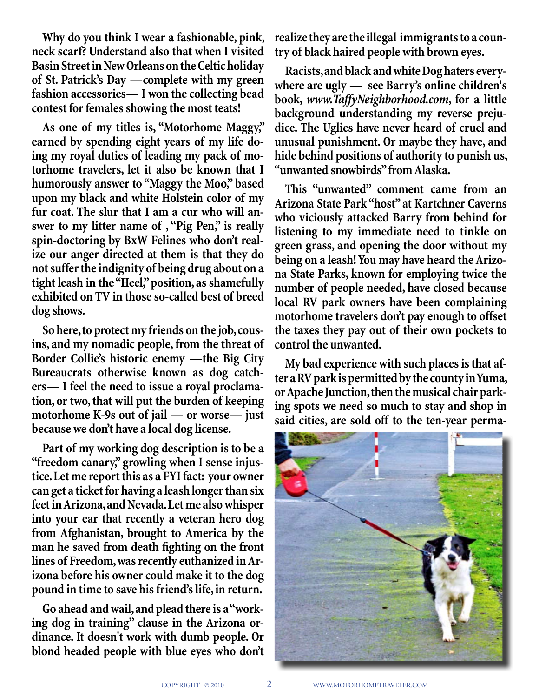**Why do you think I wear a fashionable, pink, neck scarf? Understand also that when I visited Basin Street in New Orleans on the Celtic holiday of St. Patrick's Day —complete with my green fashion accessories— I won the collecting bead contest for females showing the most teats!** 

**As one of my titles is, "Motorhome Maggy," earned by spending eight years of my life doing my royal duties of leading my pack of motorhome travelers, let it also be known that I humorously answer to "Maggy the Moo," based upon my black and white Holstein color of my fur coat. The slur that I am a cur who will answer to my litter name of , "Pig Pen," is really spin-doctoring by BxW Felines who don't realize our anger directed at them is that they do not suffer the indignity of being drug about on a tight leash in the "Heel," position, as shamefully exhibited on TV in those so-called best of breed dog shows.** 

**So here, to protect my friends on the job, cousins, and my nomadic people, from the threat of Border Collie's historic enemy —the Big City Bureaucrats otherwise known as dog catchers— I feel the need to issue a royal proclamation, or two, that will put the burden of keeping motorhome K-9s out of jail — or worse— just because we don't have a local dog license.** 

**Part of my working dog description is to be a "freedom canary," growling when I sense injustice. Let me report this as a FYI fact: your owner can get a ticket for having a leash longer than six feet in Arizona, and Nevada. Let me also whisper into your ear that recently a veteran hero dog from Afghanistan, brought to America by the man he saved from death fighting on the front lines of Freedom, was recently euthanized in Arizona before his owner could make it to the dog pound in time to save his friend's life, in return.**

**Go ahead and wail, and plead there is a "working dog in training" clause in the Arizona ordinance. It doesn't work with dumb people. Or blond headed people with blue eyes who don't**  **realize they are the illegal immigrants to a country of black haired people with brown eyes.** 

**Racists, and black and white Dog haters everywhere are ugly — see Barry's online children's book,** *www.TaffyNeighborhood.com***, for a little background understanding my reverse prejudice. The Uglies have never heard of cruel and unusual punishment. Or maybe they have, and hide behind positions of authority to punish us, "unwanted snowbirds" from Alaska.** 

**This "unwanted" comment came from an Arizona State Park "host" at Kartchner Caverns who viciously attacked Barry from behind for listening to my immediate need to tinkle on green grass, and opening the door without my being on a leash! You may have heard the Arizona State Parks, known for employing twice the number of people needed, have closed because local RV park owners have been complaining motorhome travelers don't pay enough to offset the taxes they pay out of their own pockets to control the unwanted.**

**My bad experience with such places is that after a RV park is permitted by the county in Yuma, or Apache Junction, then the musical chair parking spots we need so much to stay and shop in said cities, are sold off to the ten-year perma-**

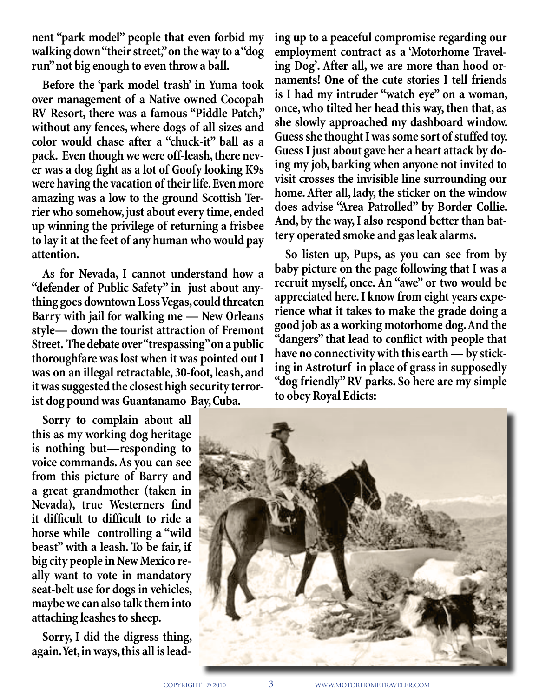**nent "park model" people that even forbid my walking down "their street," on the way to a "dog run" not big enough to even throw a ball.** 

**Before the 'park model trash' in Yuma took over management of a Native owned Cocopah RV Resort, there was a famous "Piddle Patch," without any fences, where dogs of all sizes and color would chase after a "chuck-it" ball as a pack. Even though we were off-leash, there never was a dog fight as a lot of Goofy looking K9s were having the vacation of their life. Even more amazing was a low to the ground Scottish Terrier who somehow, just about every time, ended up winning the privilege of returning a frisbee to lay it at the feet of any human who would pay attention.**

**As for Nevada, I cannot understand how a "defender of Public Safety" in just about anything goes downtown Loss Vegas, could threaten Barry with jail for walking me — New Orleans style— down the tourist attraction of Fremont Street. The debate over "trespassing" on a public thoroughfare was lost when it was pointed out I was on an illegal retractable, 30-foot, leash, and it was suggested the closest high security terrorist dog pound was Guantanamo Bay, Cuba.** 

**Sorry to complain about all this as my working dog heritage is nothing but—responding to voice commands. As you can see from this picture of Barry and a great grandmother (taken in Nevada), true Westerners find it difficult to difficult to ride a horse while controlling a "wild beast" with a leash. To be fair, if big city people in New Mexico really want to vote in mandatory seat-belt use for dogs in vehicles, maybe we can also talk them into attaching leashes to sheep.** 

**Sorry, I did the digress thing, again. Yet, in ways, this all is lead-** **ing up to a peaceful compromise regarding our employment contract as a 'Motorhome Traveling Dog'. After all, we are more than hood ornaments! One of the cute stories I tell friends is I had my intruder "watch eye" on a woman, once, who tilted her head this way, then that, as she slowly approached my dashboard window. Guess she thought I was some sort of stuffed toy. Guess I just about gave her a heart attack by doing my job, barking when anyone not invited to visit crosses the invisible line surrounding our home. After all, lady, the sticker on the window does advise "Area Patrolled" by Border Collie. And, by the way, I also respond better than battery operated smoke and gas leak alarms.** 

**So listen up, Pups, as you can see from by baby picture on the page following that I was a recruit myself, once. An "awe" or two would be appreciated here. I know from eight years experience what it takes to make the grade doing a good job as a working motorhome dog. And the "dangers" that lead to conflict with people that have no connectivity with this earth — by sticking in Astroturf in place of grass in supposedly "dog friendly" RV parks. So here are my simple to obey Royal Edicts:**

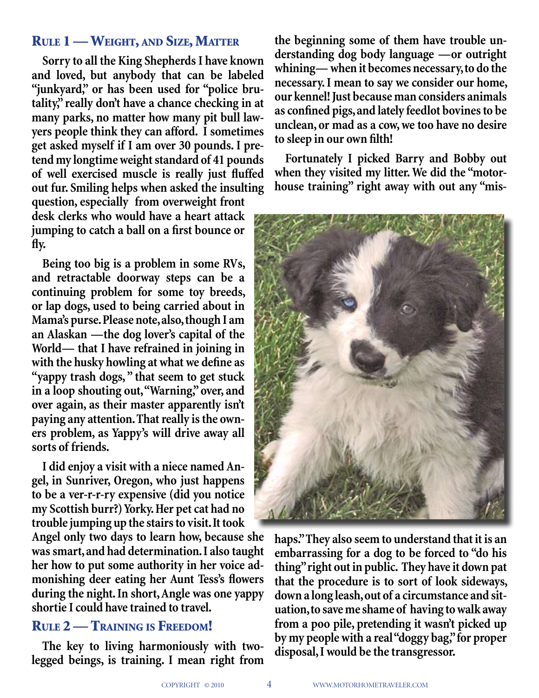## Rule 1 — Weight, and Size, Matter

**Sorry to all the King Shepherds I have known and loved, but anybody that can be labeled "junkyard," or has been used for "police brutality," really don't have a chance checking in at many parks, no matter how many pit bull lawyers people think they can afford. I sometimes get asked myself if I am over 30 pounds. I pretend my longtime weight standard of 41 pounds of well exercised muscle is really just fluffed out fur. Smiling helps when asked the insulting question, especially from overweight front desk clerks who would have a heart attack jumping to catch a ball on a first bounce or fly.**

**Being too big is a problem in some RVs, and retractable doorway steps can be a continuing problem for some toy breeds, or lap dogs, used to being carried about in Mama's purse. Please note, also, though I am an Alaskan —the dog lover's capital of the World— that I have refrained in joining in with the husky howling at what we define as "yappy trash dogs, " that seem to get stuck in a loop shouting out, "Warning," over, and over again, as their master apparently isn't paying any attention. That really is the owners problem, as Yappy's will drive away all sorts of friends.**

**I did enjoy a visit with a niece named Angel, in Sunriver, Oregon, who just happens to be a ver-r-r-ry expensive (did you notice my Scottish burr?) Yorky. Her pet cat had no trouble jumping up the stairs to visit. It took** 

**Angel only two days to learn how, because she was smart, and had determination. I also taught her how to put some authority in her voice admonishing deer eating her Aunt Tess's flowers during the night. In short, Angle was one yappy shortie I could have trained to travel.** 

## Rule 2 — Training is Freedom!

**The key to living harmoniously with twolegged beings, is training. I mean right from** 

**the beginning some of them have trouble understanding dog body language —or outright whining— when it becomes necessary, to do the necessary. I mean to say we consider our home, our kennel! Just because man considers animals as confined pigs, and lately feedlot bovines to be unclean, or mad as a cow, we too have no desire to sleep in our own filth!** 

**Fortunately I picked Barry and Bobby out when they visited my litter. We did the "motorhouse training" right away with out any "mis-**



**haps." They also seem to understand that it is an embarrassing for a dog to be forced to "do his thing" right out in public. They have it down pat that the procedure is to sort of look sideways, down a long leash, out of a circumstance and situation, to save me shame of having to walk away from a poo pile, pretending it wasn't picked up by my people with a real "doggy bag," for proper disposal, I would be the transgressor.**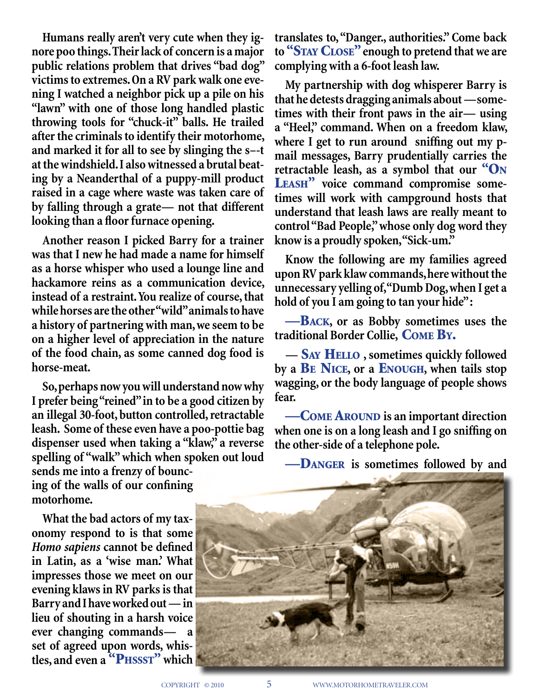**Humans really aren't very cute when they ignore poo things. Their lack of concern is a major public relations problem that drives "bad dog" victims to extremes. On a RV park walk one evening I watched a neighbor pick up a pile on his "lawn" with one of those long handled plastic throwing tools for "chuck-it" balls. He trailed after the criminals to identify their motorhome, and marked it for all to see by slinging the s–-t at the windshield. I also witnessed a brutal beating by a Neanderthal of a puppy-mill product raised in a cage where waste was taken care of by falling through a grate— not that different looking than a floor furnace opening.**

**Another reason I picked Barry for a trainer was that I new he had made a name for himself as a horse whisper who used a lounge line and hackamore reins as a communication device, instead of a restraint. You realize of course, that while horses are the other "wild" animals to have a history of partnering with man, we seem to be on a higher level of appreciation in the nature of the food chain, as some canned dog food is horse-meat.** 

**So, perhaps now you will understand now why I prefer being "reined" in to be a good citizen by an illegal 30-foot, button controlled, retractable leash. Some of these even have a poo-pottie bag dispenser used when taking a "klaw," a reverse spelling of "walk" which when spoken out loud sends me into a frenzy of bouncing of the walls of our confining motorhome.**

**What the bad actors of my taxonomy respond to is that some**  *Homo sapiens* **cannot be defined in Latin, as a 'wise man.' What impresses those we meet on our evening klaws in RV parks is that Barry and I have worked out — in lieu of shouting in a harsh voice ever changing commands— a set of agreed upon words, whis**tles, and even a <sup>"</sup>PHSSST" which **translates to, "Danger., authorities." Come back to** "Stay Close" **enough to pretend that we are complying with a 6-foot leash law.**

**My partnership with dog whisperer Barry is that he detests dragging animals about —sometimes with their front paws in the air— using a "Heel," command. When on a freedom klaw, where I get to run around sniffing out my pmail messages, Barry prudentially carries the retractable leash, as a symbol that our** "On Leash" **voice command compromise sometimes will work with campground hosts that understand that leash laws are really meant to control "Bad People," whose only dog word they know is a proudly spoken, "Sick-um."**

**Know the following are my families agreed upon RV park klaw commands, here without the unnecessary yelling of, "Dumb Dog, when I get a hold of you I am going to tan your hide" :**

—Back**, or as Bobby sometimes uses the traditional Border Collie,** Come By.

**—** Say Hello **, sometimes quickly followed by a** Be Nice**, or a** Enough**, when tails stop wagging, or the body language of people shows fear.**

—Come Around **is an important direction when one is on a long leash and I go sniffing on the other-side of a telephone pole.**

—Danger **is sometimes followed by and** 

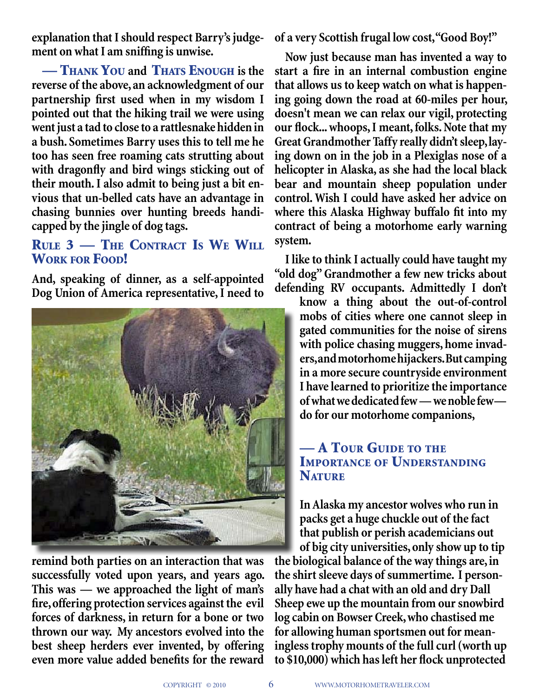**explanation that I should respect Barry's judgement on what I am sniffing is unwise.** 

— Thank You **and** Thats Enough **is the reverse of the above, an acknowledgment of our partnership first used when in my wisdom I pointed out that the hiking trail we were using went just a tad to close to a rattlesnake hidden in a bush. Sometimes Barry uses this to tell me he too has seen free roaming cats strutting about with dragonfly and bird wings sticking out of their mouth. I also admit to being just a bit envious that un-belled cats have an advantage in chasing bunnies over hunting breeds handicapped by the jingle of dog tags.**

## Rule 3 — The Contract Is We Will Work for Food!

**And, speaking of dinner, as a self-appointed Dog Union of America representative, I need to** 



**remind both parties on an interaction that was successfully voted upon years, and years ago. This was — we approached the light of man's fire, offering protection services against the evil forces of darkness, in return for a bone or two thrown our way. My ancestors evolved into the best sheep herders ever invented, by offering even more value added benefits for the reward** 

**of a very Scottish frugal low cost, "Good Boy!"** 

**Now just because man has invented a way to start a fire in an internal combustion engine that allows us to keep watch on what is happening going down the road at 60-miles per hour, doesn't mean we can relax our vigil, protecting our flock... whoops, I meant, folks. Note that my Great Grandmother Taffy really didn't sleep, laying down on in the job in a Plexiglas nose of a helicopter in Alaska, as she had the local black bear and mountain sheep population under control. Wish I could have asked her advice on where this Alaska Highway buffalo fit into my contract of being a motorhome early warning system.**

**I like to think I actually could have taught my "old dog" Grandmother a few new tricks about defending RV occupants. Admittedly I don't** 

> **know a thing about the out-of-control mobs of cities where one cannot sleep in gated communities for the noise of sirens with police chasing muggers, home invaders, and motorhome hijackers. But camping in a more secure countryside environment I have learned to prioritize the importance of what we dedicated few — we noble few do for our motorhome companions,**

## — A TOUR GUIDE TO THE Importance of Understanding **NATURE**

**In Alaska my ancestor wolves who run in packs get a huge chuckle out of the fact that publish or perish academicians out of big city universities, only show up to tip the biological balance of the way things are, in the shirt sleeve days of summertime. I personally have had a chat with an old and dry Dall Sheep ewe up the mountain from our snowbird log cabin on Bowser Creek, who chastised me for allowing human sportsmen out for meaningless trophy mounts of the full curl (worth up to \$10,000) which has left her flock unprotected**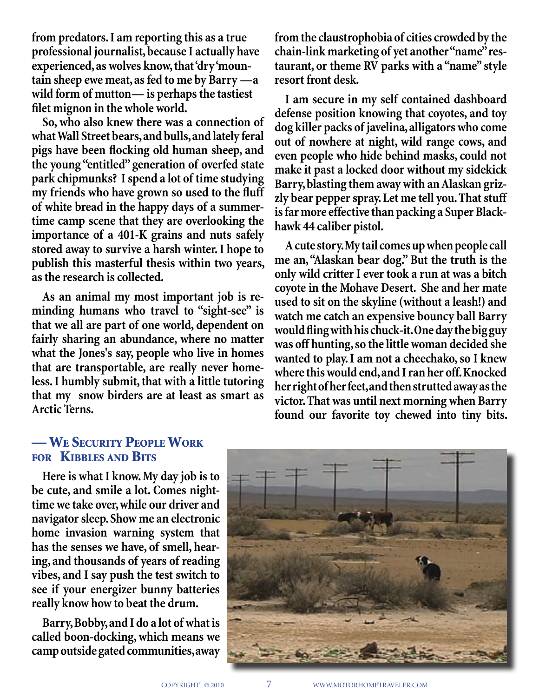**from predators. I am reporting this as a true professional journalist, because I actually have experienced, as wolves know, that 'dry 'mountain sheep ewe meat, as fed to me by Barry —a wild form of mutton— is perhaps the tastiest filet mignon in the whole world.**

**So, who also knew there was a connection of what Wall Street bears, and bulls, and lately feral pigs have been flocking old human sheep, and the young "entitled" generation of overfed state park chipmunks? I spend a lot of time studying my friends who have grown so used to the fluff of white bread in the happy days of a summertime camp scene that they are overlooking the importance of a 401-K grains and nuts safely stored away to survive a harsh winter. I hope to publish this masterful thesis within two years, as the research is collected.** 

**As an animal my most important job is reminding humans who travel to "sight-see" is that we all are part of one world, dependent on fairly sharing an abundance, where no matter what the Jones's say, people who live in homes that are transportable, are really never homeless. I humbly submit, that with a little tutoring that my snow birders are at least as smart as Arctic Terns.**

**from the claustrophobia of cities crowded by the chain-link marketing of yet another "name" restaurant, or theme RV parks with a "name" style resort front desk.** 

**I am secure in my self contained dashboard defense position knowing that coyotes, and toy dog killer packs of javelina, alligators who come out of nowhere at night, wild range cows, and even people who hide behind masks, could not make it past a locked door without my sidekick Barry, blasting them away with an Alaskan grizzly bear pepper spray. Let me tell you. That stuff is far more effective than packing a Super Blackhawk 44 caliber pistol.**

**A cute story. My tail comes up when people call me an, "Alaskan bear dog." But the truth is the only wild critter I ever took a run at was a bitch coyote in the Mohave Desert. She and her mate used to sit on the skyline (without a leash!) and watch me catch an expensive bouncy ball Barry would fling with his chuck-it. One day the big guy was off hunting, so the little woman decided she wanted to play. I am not a cheechako, so I knew where this would end, and I ran her off. Knocked her right of her feet, and then strutted away as the victor. That was until next morning when Barry found our favorite toy chewed into tiny bits.**

## — We Security People Work for Kibbles and Bits

**Here is what I know. My day job is to be cute, and smile a lot. Comes nighttime we take over, while our driver and navigator sleep. Show me an electronic home invasion warning system that has the senses we have, of smell, hearing, and thousands of years of reading vibes, and I say push the test switch to see if your energizer bunny batteries really know how to beat the drum.**

**Barry, Bobby, and I do a lot of what is called boon-docking, which means we camp outside gated communities, away** 

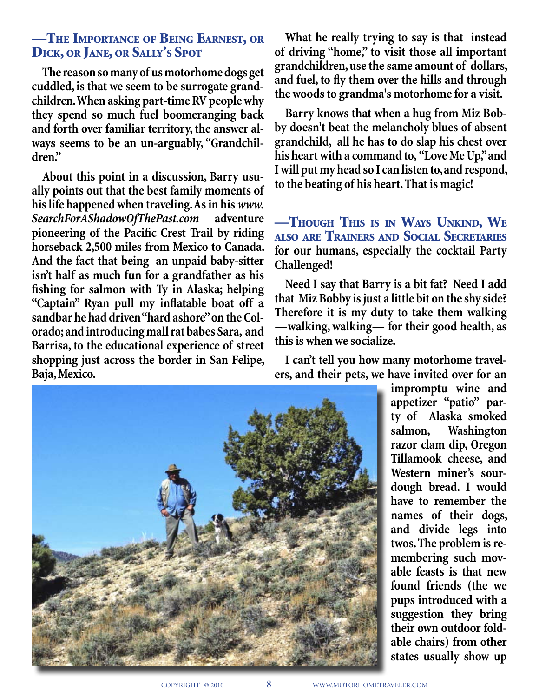## —The Importance of Being Earnest, or Dick, or Jane, or Sally's Spot

**The reason so many of us motorhome dogs get cuddled, is that we seem to be surrogate grandchildren. When asking part-time RV people why they spend so much fuel boomeranging back and forth over familiar territory, the answer always seems to be an un-arguably, "Grandchildren."** 

**About this point in a discussion, Barry usually points out that the best family moments of his life happened when traveling. As in his** *www. SearchForAShadowOfThePast.com* **adventure pioneering of the Pacific Crest Trail by riding horseback 2,500 miles from Mexico to Canada. And the fact that being an unpaid baby-sitter isn't half as much fun for a grandfather as his fishing for salmon with Ty in Alaska; helping "Captain" Ryan pull my inflatable boat off a sandbar he had driven "hard ashore" on the Colorado; and introducing mall rat babes Sara, and Barrisa, to the educational experience of street shopping just across the border in San Felipe, Baja, Mexico.**

**What he really trying to say is that instead of driving "home," to visit those all important grandchildren, use the same amount of dollars, and fuel, to fly them over the hills and through the woods to grandma's motorhome for a visit.** 

**Barry knows that when a hug from Miz Bobby doesn't beat the melancholy blues of absent grandchild, all he has to do slap his chest over his heart with a command to, "Love Me Up," and I will put my head so I can listen to, and respond, to the beating of his heart. That is magic!**

—Though This is in Ways Unkind, We also are Trainers and Social Secretaries **for our humans, especially the cocktail Party Challenged!**

**Need I say that Barry is a bit fat? Need I add that Miz Bobby is just a little bit on the shy side? Therefore it is my duty to take them walking —walking, walking— for their good health, as this is when we socialize.**

**I can't tell you how many motorhome travelers, and their pets, we have invited over for an** 



**impromptu wine and appetizer "patio" party of Alaska smoked salmon, Washington razor clam dip, Oregon Tillamook cheese, and Western miner's sourdough bread. I would have to remember the names of their dogs, and divide legs into twos. The problem is remembering such movable feasts is that new found friends (the we pups introduced with a suggestion they bring their own outdoor foldable chairs) from other states usually show up**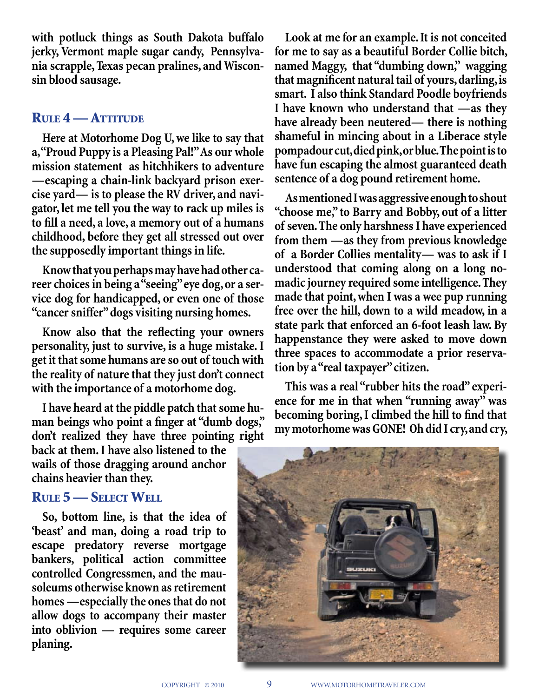**with potluck things as South Dakota buffalo jerky, Vermont maple sugar candy, Pennsylvania scrapple, Texas pecan pralines, and Wisconsin blood sausage.** 

#### Rule 4 — Attitude

**Here at Motorhome Dog U, we like to say that a, "Proud Puppy is a Pleasing Pal!" As our whole mission statement as hitchhikers to adventure —escaping a chain-link backyard prison exercise yard— is to please the RV driver, and navigator, let me tell you the way to rack up miles is to fill a need, a love, a memory out of a humans childhood, before they get all stressed out over the supposedly important things in life.** 

**Know that you perhaps may have had other career choices in being a "seeing" eye dog, or a service dog for handicapped, or even one of those "cancer sniffer" dogs visiting nursing homes.** 

**Know also that the reflecting your owners personality, just to survive, is a huge mistake. I get it that some humans are so out of touch with the reality of nature that they just don't connect with the importance of a motorhome dog.** 

**I have heard at the piddle patch that some human beings who point a finger at "dumb dogs," don't realized they have three pointing right** 

**back at them. I have also listened to the wails of those dragging around anchor chains heavier than they.** 

#### Rule 5 — Select Well

**So, bottom line, is that the idea of 'beast' and man, doing a road trip to escape predatory reverse mortgage bankers, political action committee controlled Congressmen, and the mausoleums otherwise known as retirement homes —especially the ones that do not allow dogs to accompany their master into oblivion — requires some career planing.** 

**Look at me for an example. It is not conceited for me to say as a beautiful Border Collie bitch, named Maggy, that "dumbing down," wagging that magnificent natural tail of yours, darling, is smart. I also think Standard Poodle boyfriends I have known who understand that —as they have already been neutered— there is nothing shameful in mincing about in a Liberace style pompadour cut, died pink, or blue. The point is to have fun escaping the almost guaranteed death sentence of a dog pound retirement home.**

**As mentioned I was aggressive enough to shout "choose me," to Barry and Bobby, out of a litter of seven. The only harshness I have experienced from them —as they from previous knowledge of a Border Collies mentality— was to ask if I understood that coming along on a long nomadic journey required some intelligence. They made that point, when I was a wee pup running free over the hill, down to a wild meadow, in a state park that enforced an 6-foot leash law. By happenstance they were asked to move down three spaces to accommodate a prior reservation by a "real taxpayer" citizen.** 

**This was a real "rubber hits the road" experience for me in that when "running away" was becoming boring, I climbed the hill to find that my motorhome was GONE! Oh did I cry, and cry,**